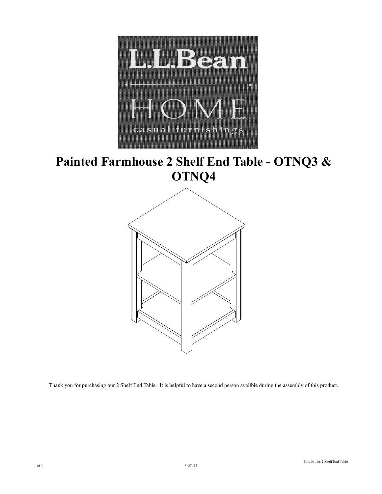

# **Painted Farmhouse 2 Shelf End Table - OTNQ3 & OTNQ4**



Thank you for purchasing our 2 Shelf End Table. It is helpful to have a second person availble during the assembly of this product.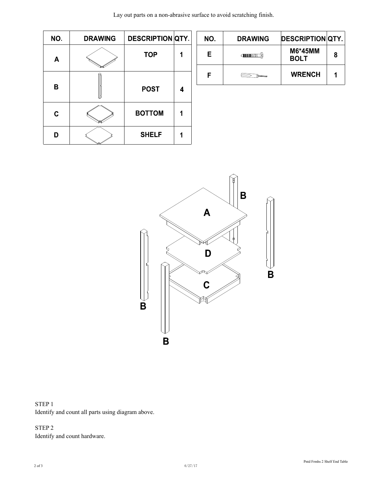| Lay out parts on a non-abrasive surface to avoid scratching finish. |  |  |
|---------------------------------------------------------------------|--|--|
|---------------------------------------------------------------------|--|--|

| NO. | <b>DRAWING</b> | <b>DESCRIPTION QTY.</b> |   |
|-----|----------------|-------------------------|---|
| Α   |                | <b>TOP</b>              |   |
| в   |                | <b>POST</b>             | 4 |
| C   |                | <b>BOTTOM</b>           |   |
|     |                | <b>SHELF</b>            |   |

| NO. | <b>DRAWING</b>  | <b>DESCRIPTION QTY.</b> |   |
|-----|-----------------|-------------------------|---|
| F.  | <b>CHIMMANI</b> | M6*45MM<br><b>BOLT</b>  | 8 |
|     |                 | <b>WRENCH</b>           |   |



STEP 1 Identify and count all parts using diagram above.

STEP 2 Identify and count hardware.